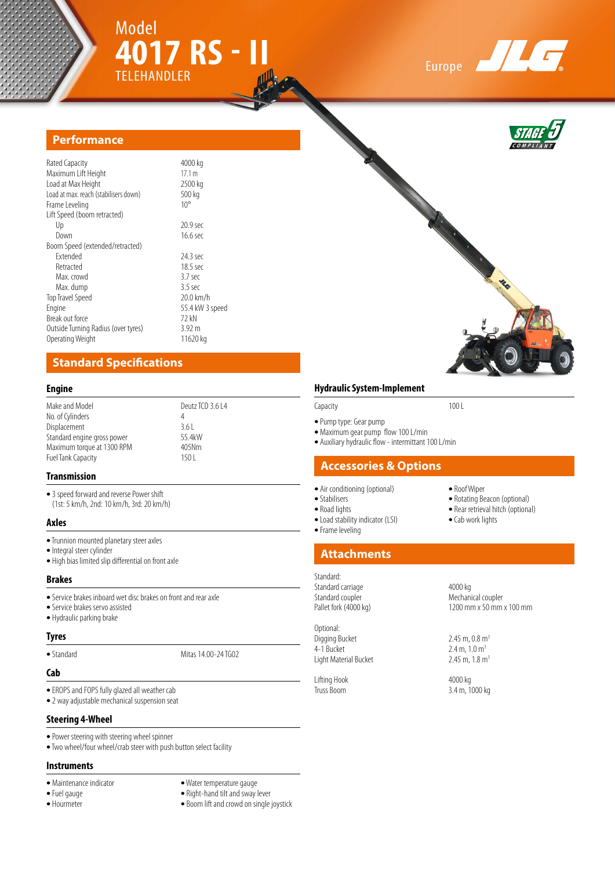





## **Performance**

| Rated Capacity                        | 4000 kg         |
|---------------------------------------|-----------------|
| Maximum Lift Height                   | 17.1 m          |
| Load at Max Height                    | 2500 kg         |
| Load at max. reach (stabilisers down) | 500 kg          |
| Frame Leveling                        | $10^{\circ}$    |
| Lift Speed (boom retracted)           |                 |
| Up                                    | 20.9 sec        |
| Down                                  | 16.6 sec        |
| Boom Speed (extended/retracted)       |                 |
| <b>Fxtended</b>                       | 24.3 sec        |
| Retracted                             | 18.5 sec        |
| Max crowd                             | $3.7$ sec       |
| Max. dump                             | $3.5$ sec       |
| <b>Top Travel Speed</b>               | 20.0 km/h       |
| Engine                                | 55.4 kW 3 speed |
| Break out force                       | 72 kN           |
| Outside Turning Radius (over tyres)   | 3.92 m          |
| Operating Weight                      | 11620 kg        |

## **Standard Specifications**

#### **Engine**

| Make and Model              | Deutz TCD 3.6 L4 |
|-----------------------------|------------------|
| No. of Cylinders            |                  |
| Displacement                | 361              |
| Standard engine gross power | 55 4kW           |
| Maximum torque at 1300 RPM  | 405Nm            |
| Fuel Tank Capacity          | 150 L            |
|                             |                  |

#### **Transmission**

- **•**3 speed forward and reverse Power shift (1st: 5 km/h, 2nd: 10 km/h, 3rd: 20 km/h)
- **Axles**
- **•** Trunnion mounted planetary steer axles
- **•** Integral steer cylinder
- **•** High bias limited slip differential on front axle

#### **Brakes**

- **•** Service brakes inboard wet disc brakes on front and rear axle
- **•** Service brakes servo assisted
- **•** Hydraulic parking brake

#### **Tyres**

• Standard **Mitas 14.00-24 TG02** 

#### **Cab**

- **•** EROPS and FOPS fully glazed all weather cab
- **•** 2 way adjustable mechanical suspension seat

#### **Steering 4-Wheel**

- **•** Power steering with steering wheel spinner
- **•** Two wheel/four wheel/crab steer with push button select facility

#### **Instruments**

- 
- 
- 
- 
- Maintenance indicator **•** Water temperature gauge<br>• Fuel gauge Right-hand tilt and sway **•** Fuel gauge **•** Right-hand tilt and sway lever
	- Boom lift and crowd on single joystick

#### **Hydraulic System-Implement**

#### Capacity 100 L

- **•** Pump type: Gear pump
- **•** Maximum gear pump flow 100 L/min
- **•** Auxiliary hydraulic flow intermittant 100 L/min

## **Accessories & Options**

- **•** Air conditioning (optional) **•** Roof Wiper
- 
- 

**•** Frame leveling

• Load stability indicator (LSI)

## **Attachments**

## Standard:

Standard carriage 1986 and 1999 and 4000 kg<br>Standard coupler 1999 and 1999 Mechani Standard coupler **Mechanical coupler** Mechanical coupler Pallet fork (4000 kg)

Optional: Digging Bucket 2.45 m, 0.8 m<sup>3</sup><br>4-1 Bucket 2.4 m, 1.0 m<sup>3</sup> Light Material Bucket

Lifting Hook 4000 kg<br>Truss Boom 3.4 m, 1

- Rotating Beacon (optional)
- Road lights **• •** Rear retrieval hitch (optional) Load stability indicator (LSI) Cab work lights
	-

# 1200 mm x 50 mm x 100 mm

 $2.4 \text{ m}$ ,  $1.0 \text{ m}^3$ <br> $2.45 \text{ m}$ ,  $1.8 \text{ m}^3$ 

3.4 m, 1000 kg